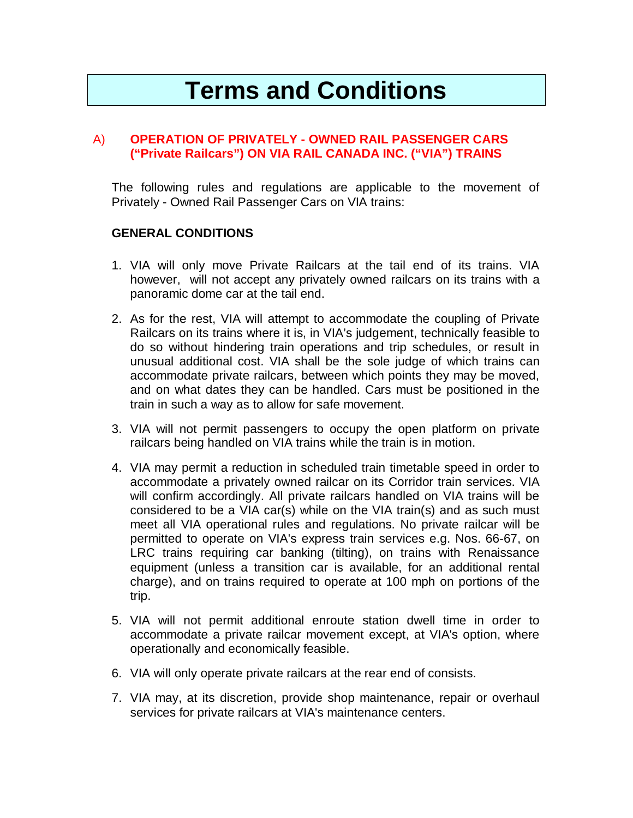# **Terms and Conditions**

#### A) **OPERATION OF PRIVATELY - OWNED RAIL PASSENGER CARS ("Private Railcars") ON VIA RAIL CANADA INC. ("VIA") TRAINS**

The following rules and regulations are applicable to the movement of Privately - Owned Rail Passenger Cars on VIA trains:

#### **GENERAL CONDITIONS**

- 1. VIA will only move Private Railcars at the tail end of its trains. VIA however, will not accept any privately owned railcars on its trains with a panoramic dome car at the tail end.
- 2. As for the rest, VIA will attempt to accommodate the coupling of Private Railcars on its trains where it is, in VIA's judgement, technically feasible to do so without hindering train operations and trip schedules, or result in unusual additional cost. VIA shall be the sole judge of which trains can accommodate private railcars, between which points they may be moved, and on what dates they can be handled. Cars must be positioned in the train in such a way as to allow for safe movement.
- 3. VIA will not permit passengers to occupy the open platform on private railcars being handled on VIA trains while the train is in motion.
- 4. VIA may permit a reduction in scheduled train timetable speed in order to accommodate a privately owned railcar on its Corridor train services. VIA will confirm accordingly. All private railcars handled on VIA trains will be considered to be a VIA car(s) while on the VIA train(s) and as such must meet all VIA operational rules and regulations. No private railcar will be permitted to operate on VIA's express train services e.g. Nos. 66-67, on LRC trains requiring car banking (tilting), on trains with Renaissance equipment (unless a transition car is available, for an additional rental charge), and on trains required to operate at 100 mph on portions of the trip.
- 5. VIA will not permit additional enroute station dwell time in order to accommodate a private railcar movement except, at VIA's option, where operationally and economically feasible.
- 6. VIA will only operate private railcars at the rear end of consists.
- 7. VIA may, at its discretion, provide shop maintenance, repair or overhaul services for private railcars at VIA's maintenance centers.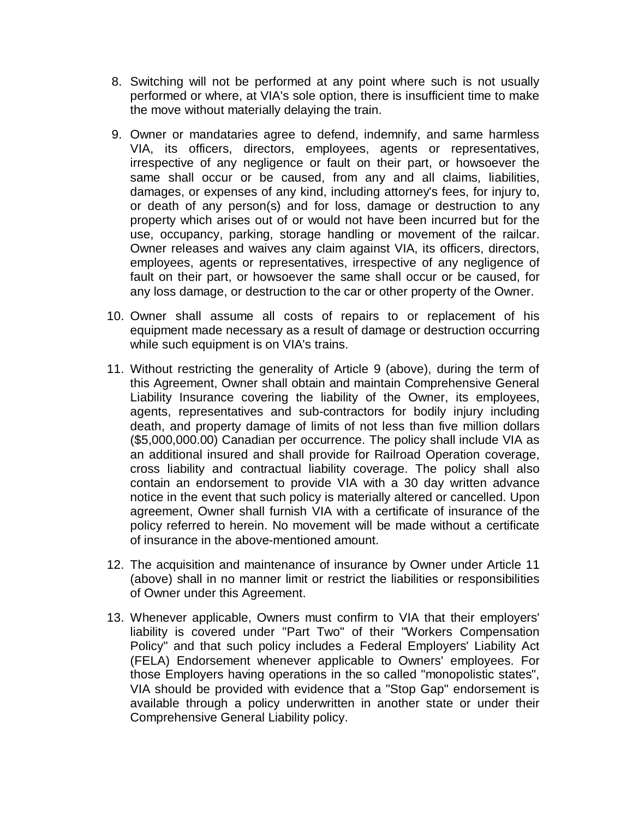- 8. Switching will not be performed at any point where such is not usually performed or where, at VIA's sole option, there is insufficient time to make the move without materially delaying the train.
- 9. Owner or mandataries agree to defend, indemnify, and same harmless VIA, its officers, directors, employees, agents or representatives, irrespective of any negligence or fault on their part, or howsoever the same shall occur or be caused, from any and all claims, liabilities, damages, or expenses of any kind, including attorney's fees, for injury to, or death of any person(s) and for loss, damage or destruction to any property which arises out of or would not have been incurred but for the use, occupancy, parking, storage handling or movement of the railcar. Owner releases and waives any claim against VIA, its officers, directors, employees, agents or representatives, irrespective of any negligence of fault on their part, or howsoever the same shall occur or be caused, for any loss damage, or destruction to the car or other property of the Owner.
- 10. Owner shall assume all costs of repairs to or replacement of his equipment made necessary as a result of damage or destruction occurring while such equipment is on VIA's trains.
- 11. Without restricting the generality of Article 9 (above), during the term of this Agreement, Owner shall obtain and maintain Comprehensive General Liability Insurance covering the liability of the Owner, its employees, agents, representatives and sub-contractors for bodily injury including death, and property damage of limits of not less than five million dollars (\$5,000,000.00) Canadian per occurrence. The policy shall include VIA as an additional insured and shall provide for Railroad Operation coverage, cross liability and contractual liability coverage. The policy shall also contain an endorsement to provide VIA with a 30 day written advance notice in the event that such policy is materially altered or cancelled. Upon agreement, Owner shall furnish VIA with a certificate of insurance of the policy referred to herein. No movement will be made without a certificate of insurance in the above-mentioned amount.
- 12. The acquisition and maintenance of insurance by Owner under Article 11 (above) shall in no manner limit or restrict the liabilities or responsibilities of Owner under this Agreement.
- 13. Whenever applicable, Owners must confirm to VIA that their employers' liability is covered under "Part Two" of their "Workers Compensation Policy" and that such policy includes a Federal Employers' Liability Act (FELA) Endorsement whenever applicable to Owners' employees. For those Employers having operations in the so called "monopolistic states", VIA should be provided with evidence that a "Stop Gap" endorsement is available through a policy underwritten in another state or under their Comprehensive General Liability policy.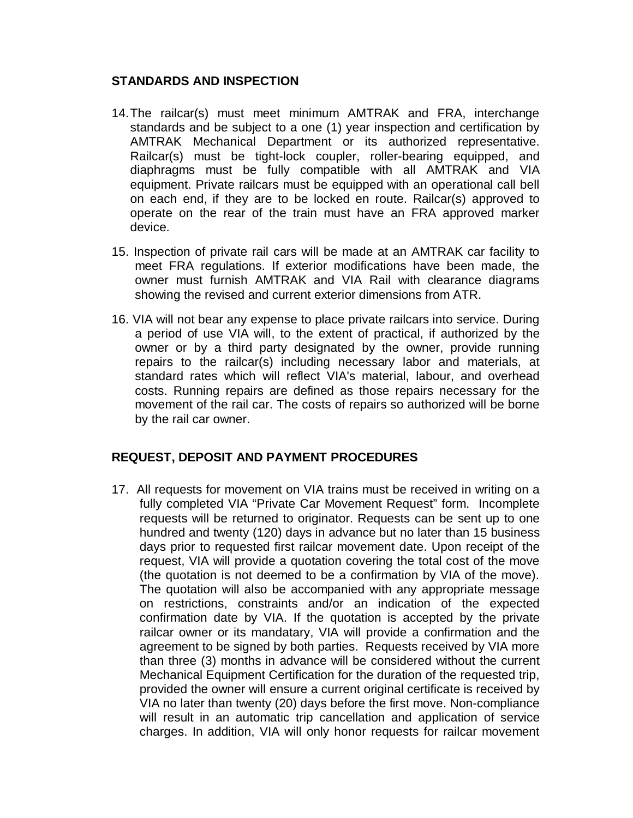#### **STANDARDS AND INSPECTION**

- 14. The railcar(s) must meet minimum AMTRAK and FRA, interchange standards and be subject to a one (1) year inspection and certification by AMTRAK Mechanical Department or its authorized representative. Railcar(s) must be tight-lock coupler, roller-bearing equipped, and diaphragms must be fully compatible with all AMTRAK and VIA equipment. Private railcars must be equipped with an operational call bell on each end, if they are to be locked en route. Railcar(s) approved to operate on the rear of the train must have an FRA approved marker device.
- 15. Inspection of private rail cars will be made at an AMTRAK car facility to meet FRA regulations. If exterior modifications have been made, the owner must furnish AMTRAK and VIA Rail with clearance diagrams showing the revised and current exterior dimensions from ATR.
- 16. VIA will not bear any expense to place private railcars into service. During a period of use VIA will, to the extent of practical, if authorized by the owner or by a third party designated by the owner, provide running repairs to the railcar(s) including necessary labor and materials, at standard rates which will reflect VIA's material, labour, and overhead costs. Running repairs are defined as those repairs necessary for the movement of the rail car. The costs of repairs so authorized will be borne by the rail car owner.

## **REQUEST, DEPOSIT AND PAYMENT PROCEDURES**

17. All requests for movement on VIA trains must be received in writing on a fully completed VIA "Private Car Movement Request" form. Incomplete requests will be returned to originator. Requests can be sent up to one hundred and twenty (120) days in advance but no later than 15 business days prior to requested first railcar movement date. Upon receipt of the request, VIA will provide a quotation covering the total cost of the move (the quotation is not deemed to be a confirmation by VIA of the move). The quotation will also be accompanied with any appropriate message on restrictions, constraints and/or an indication of the expected confirmation date by VIA. If the quotation is accepted by the private railcar owner or its mandatary, VIA will provide a confirmation and the agreement to be signed by both parties. Requests received by VIA more than three (3) months in advance will be considered without the current Mechanical Equipment Certification for the duration of the requested trip, provided the owner will ensure a current original certificate is received by VIA no later than twenty (20) days before the first move. Non-compliance will result in an automatic trip cancellation and application of service charges. In addition, VIA will only honor requests for railcar movement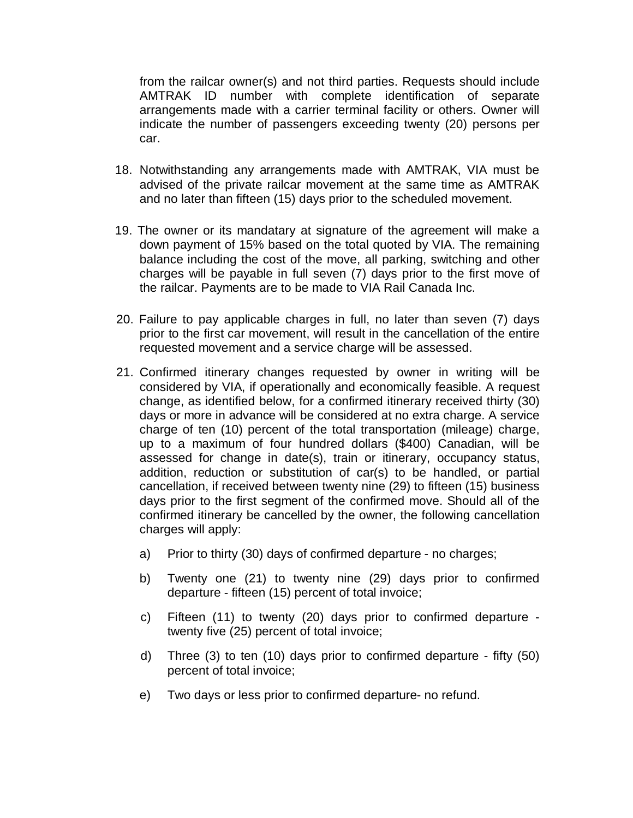from the railcar owner(s) and not third parties. Requests should include AMTRAK ID number with complete identification of separate arrangements made with a carrier terminal facility or others. Owner will indicate the number of passengers exceeding twenty (20) persons per car.

- 18. Notwithstanding any arrangements made with AMTRAK, VIA must be advised of the private railcar movement at the same time as AMTRAK and no later than fifteen (15) days prior to the scheduled movement.
- 19. The owner or its mandatary at signature of the agreement will make a down payment of 15% based on the total quoted by VIA. The remaining balance including the cost of the move, all parking, switching and other charges will be payable in full seven (7) days prior to the first move of the railcar. Payments are to be made to VIA Rail Canada Inc.
- 20. Failure to pay applicable charges in full, no later than seven (7) days prior to the first car movement, will result in the cancellation of the entire requested movement and a service charge will be assessed.
- 21. Confirmed itinerary changes requested by owner in writing will be considered by VIA, if operationally and economically feasible. A request change, as identified below, for a confirmed itinerary received thirty (30) days or more in advance will be considered at no extra charge. A service charge of ten (10) percent of the total transportation (mileage) charge, up to a maximum of four hundred dollars (\$400) Canadian, will be assessed for change in date(s), train or itinerary, occupancy status, addition, reduction or substitution of car(s) to be handled, or partial cancellation, if received between twenty nine (29) to fifteen (15) business days prior to the first segment of the confirmed move. Should all of the confirmed itinerary be cancelled by the owner, the following cancellation charges will apply:
	- a) Prior to thirty (30) days of confirmed departure no charges;
	- b) Twenty one (21) to twenty nine (29) days prior to confirmed departure - fifteen (15) percent of total invoice;
	- c) Fifteen (11) to twenty (20) days prior to confirmed departure twenty five (25) percent of total invoice;
	- d) Three (3) to ten (10) days prior to confirmed departure fifty (50) percent of total invoice;
	- e) Two days or less prior to confirmed departure- no refund.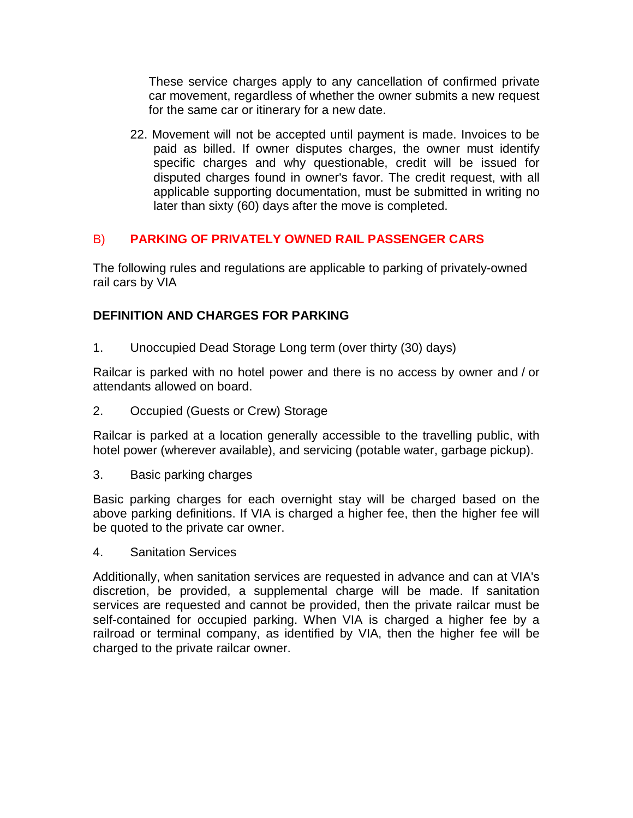These service charges apply to any cancellation of confirmed private car movement, regardless of whether the owner submits a new request for the same car or itinerary for a new date.

22. Movement will not be accepted until payment is made. Invoices to be paid as billed. If owner disputes charges, the owner must identify specific charges and why questionable, credit will be issued for disputed charges found in owner's favor. The credit request, with all applicable supporting documentation, must be submitted in writing no later than sixty (60) days after the move is completed.

## B) **PARKING OF PRIVATELY OWNED RAIL PASSENGER CARS**

The following rules and regulations are applicable to parking of privately-owned rail cars by VIA

## **DEFINITION AND CHARGES FOR PARKING**

1. Unoccupied Dead Storage Long term (over thirty (30) days)

Railcar is parked with no hotel power and there is no access by owner and / or attendants allowed on board.

2. Occupied (Guests or Crew) Storage

Railcar is parked at a location generally accessible to the travelling public, with hotel power (wherever available), and servicing (potable water, garbage pickup).

3. Basic parking charges

Basic parking charges for each overnight stay will be charged based on the above parking definitions. If VIA is charged a higher fee, then the higher fee will be quoted to the private car owner.

4. Sanitation Services

Additionally, when sanitation services are requested in advance and can at VIA's discretion, be provided, a supplemental charge will be made. If sanitation services are requested and cannot be provided, then the private railcar must be self-contained for occupied parking. When VIA is charged a higher fee by a railroad or terminal company, as identified by VIA, then the higher fee will be charged to the private railcar owner.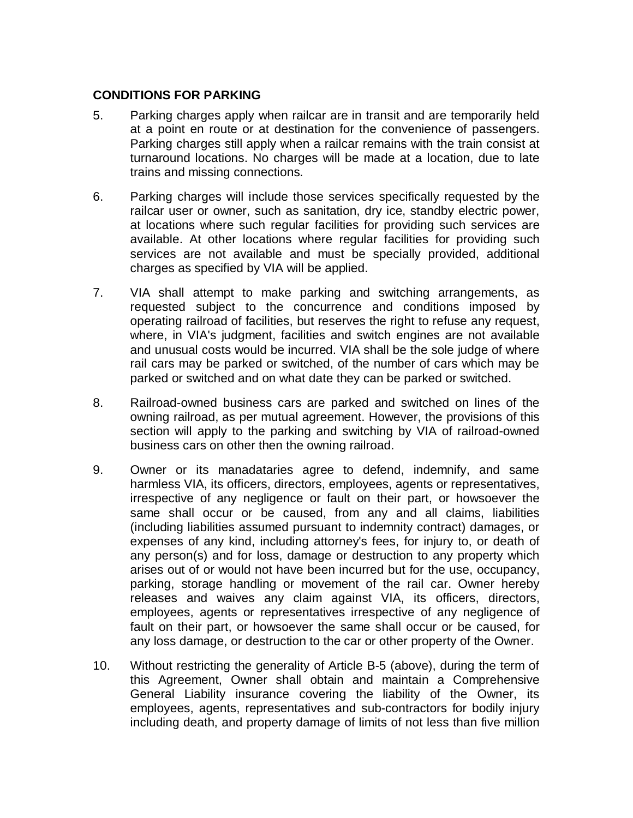### **CONDITIONS FOR PARKING**

- 5. Parking charges apply when railcar are in transit and are temporarily held at a point en route or at destination for the convenience of passengers. Parking charges still apply when a railcar remains with the train consist at turnaround locations. No charges will be made at a location, due to late trains and missing connections.
- 6. Parking charges will include those services specifically requested by the railcar user or owner, such as sanitation, dry ice, standby electric power, at locations where such regular facilities for providing such services are available. At other locations where regular facilities for providing such services are not available and must be specially provided, additional charges as specified by VIA will be applied.
- 7. VIA shall attempt to make parking and switching arrangements, as requested subject to the concurrence and conditions imposed by operating railroad of facilities, but reserves the right to refuse any request, where, in VIA's judgment, facilities and switch engines are not available and unusual costs would be incurred. VIA shall be the sole judge of where rail cars may be parked or switched, of the number of cars which may be parked or switched and on what date they can be parked or switched.
- 8. Railroad-owned business cars are parked and switched on lines of the owning railroad, as per mutual agreement. However, the provisions of this section will apply to the parking and switching by VIA of railroad-owned business cars on other then the owning railroad.
- 9. Owner or its manadataries agree to defend, indemnify, and same harmless VIA, its officers, directors, employees, agents or representatives, irrespective of any negligence or fault on their part, or howsoever the same shall occur or be caused, from any and all claims, liabilities (including liabilities assumed pursuant to indemnity contract) damages, or expenses of any kind, including attorney's fees, for injury to, or death of any person(s) and for loss, damage or destruction to any property which arises out of or would not have been incurred but for the use, occupancy, parking, storage handling or movement of the rail car. Owner hereby releases and waives any claim against VIA, its officers, directors, employees, agents or representatives irrespective of any negligence of fault on their part, or howsoever the same shall occur or be caused, for any loss damage, or destruction to the car or other property of the Owner.
- 10. Without restricting the generality of Article B-5 (above), during the term of this Agreement, Owner shall obtain and maintain a Comprehensive General Liability insurance covering the liability of the Owner, its employees, agents, representatives and sub-contractors for bodily injury including death, and property damage of limits of not less than five million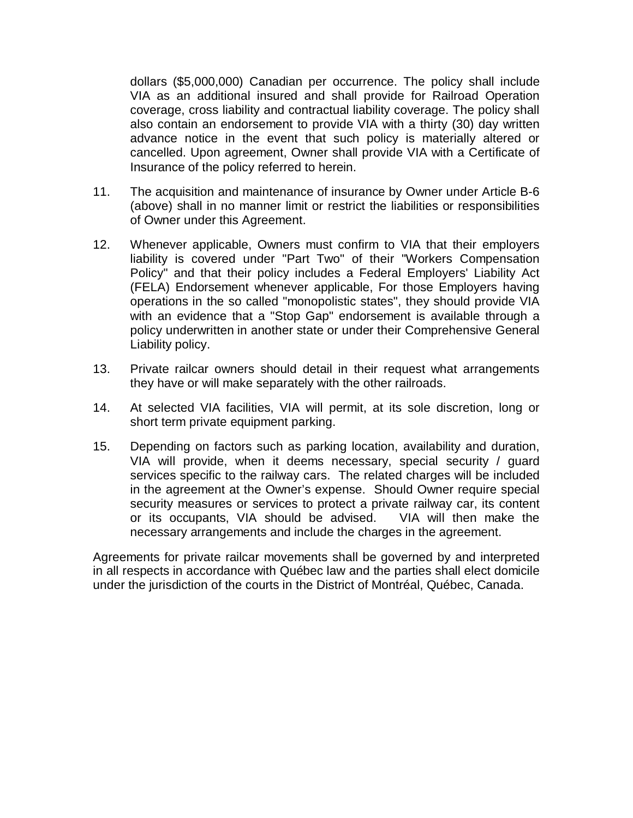dollars (\$5,000,000) Canadian per occurrence. The policy shall include VIA as an additional insured and shall provide for Railroad Operation coverage, cross liability and contractual liability coverage. The policy shall also contain an endorsement to provide VIA with a thirty (30) day written advance notice in the event that such policy is materially altered or cancelled. Upon agreement, Owner shall provide VIA with a Certificate of Insurance of the policy referred to herein.

- 11. The acquisition and maintenance of insurance by Owner under Article B-6 (above) shall in no manner limit or restrict the liabilities or responsibilities of Owner under this Agreement.
- 12. Whenever applicable, Owners must confirm to VIA that their employers liability is covered under "Part Two" of their "Workers Compensation Policy" and that their policy includes a Federal Employers' Liability Act (FELA) Endorsement whenever applicable, For those Employers having operations in the so called "monopolistic states", they should provide VIA with an evidence that a "Stop Gap" endorsement is available through a policy underwritten in another state or under their Comprehensive General Liability policy.
- 13. Private railcar owners should detail in their request what arrangements they have or will make separately with the other railroads.
- 14. At selected VIA facilities, VIA will permit, at its sole discretion, long or short term private equipment parking.
- 15. Depending on factors such as parking location, availability and duration, VIA will provide, when it deems necessary, special security / guard services specific to the railway cars. The related charges will be included in the agreement at the Owner's expense. Should Owner require special security measures or services to protect a private railway car, its content or its occupants, VIA should be advised. VIA will then make the necessary arrangements and include the charges in the agreement.

Agreements for private railcar movements shall be governed by and interpreted in all respects in accordance with Québec law and the parties shall elect domicile under the jurisdiction of the courts in the District of Montréal, Québec, Canada.